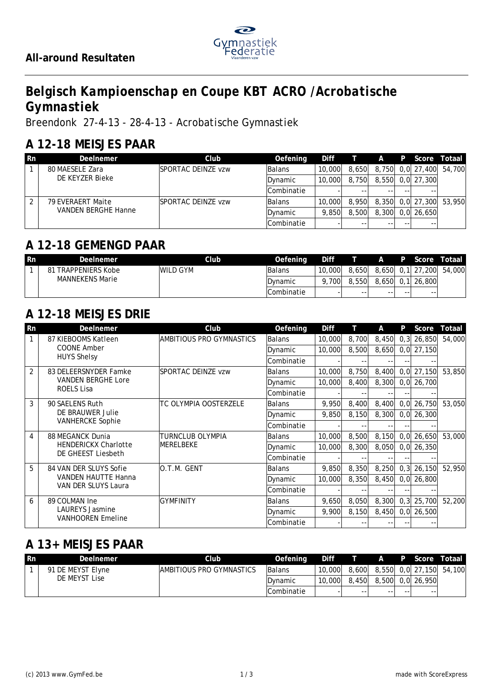

# *Belgisch Kampioenschap en Coupe KBT ACRO /Acrobatische Gymnastiek*

*Breendonk 27-4-13 - 28-4-13 - Acrobatische Gymnastiek*

#### **A 12-18 MEISJES PAAR**

| <b>Rn</b> | DeeInemer                  | Club                       | Oefening        |        | Diff T A |  | P Score          | Totaal .                |
|-----------|----------------------------|----------------------------|-----------------|--------|----------|--|------------------|-------------------------|
|           | 80 MAESELE Zara            | <b>ISPORTAC DEINZE vzw</b> | <b>Balans</b>   | 10,000 | 8,650    |  | 8,750 0,0 27,400 | 54,700                  |
|           | DE KEYZER Bieke            |                            | Dynamic         | 10,000 | 8,750    |  | 8.550 0.0 27.300 |                         |
|           |                            |                            | Combinatie      |        |          |  |                  |                         |
|           | 79 EVERAERT Maite          | <b>ISPORTAC DEINZE vzw</b> | <b>Balans</b>   | 10.000 | 8.950    |  |                  | 8,350 0,0 27,300 53,950 |
|           | <b>VANDEN BERGHE Hanne</b> |                            | <b>IDvnamic</b> | 9.850  | 8,500    |  | 8,300 0,0 26,650 |                         |
|           |                            |                            | Combinatie      |        |          |  |                  |                         |

#### **A 12-18 GEMENGD PAAR**

| l Rn | Deelnemer                     | Club.     | Oefening        | Diff             |       | $\mathsf{A}$ | <b>P</b> | Score            | Totaal |
|------|-------------------------------|-----------|-----------------|------------------|-------|--------------|----------|------------------|--------|
|      | <b>TRAPPENIERS Kobe</b><br>81 | IWILD GYM | <b>Balans</b>   | 10,000           | 8.650 |              |          | 8,650 0,1 27,200 | 54,000 |
|      | <b>MANNEKENS Marie</b>        |           | <b>IDvnamic</b> | 700 <sub>1</sub> | 8,550 | 8,650        | 0.1      | 26,800           |        |
|      |                               |           | lCombinatie     |                  | $- -$ | $- -$        | $- -$    | --               |        |

# **A 12-18 MEISJES DRIE**

| <b>Rn</b>      | DeeInemer                                          | Club                           | Oefening          | Diff   | H     | A     | P    | Score        | Totaal |
|----------------|----------------------------------------------------|--------------------------------|-------------------|--------|-------|-------|------|--------------|--------|
|                | 87 KIEBOOMS Katleen                                | AMBITIOUS PRO GYMNASTICS       | <b>Balans</b>     | 10,000 | 8,700 | 8,450 | 0, 3 | 26,850       | 54,000 |
|                | <b>COONE Amber</b>                                 |                                | Dynamic           | 10,000 | 8,500 | 8,650 |      | $0,0$ 27,150 |        |
|                | <b>HUYS Shelsy</b>                                 |                                | <b>Combinatie</b> |        |       |       |      |              |        |
| $\overline{2}$ | 83 DELEERSNYDER Famke                              | SPORTAC DEINZE vzw             | Balans            | 10,000 | 8,750 | 8,400 | 0, 0 | 27,150       | 53,850 |
|                | <b>VANDEN BERGHE Lore</b>                          |                                | Dynamic           | 10,000 | 8,400 | 8,300 |      | $0,0$ 26,700 |        |
|                | <b>ROELS Lisa</b>                                  |                                | Combinatie        |        |       |       |      |              |        |
| 3              | 90 SAELENS Ruth                                    | TC OLYMPIA OOSTERZELE          | Balans            | 9,950  | 8,400 | 8,400 | 0, 0 | 26,750       | 53,050 |
|                | DE BRAUWER Julie<br><b>VANHERCKE Sophie</b>        |                                | Dynamic           | 9.850  | 8,150 | 8,300 |      | $0,0$ 26,300 |        |
|                |                                                    |                                | Combinatie        |        |       |       |      |              |        |
| 4              | 88 MEGANCK Dunia                                   | TURNCLUB OLYMPIA<br>IMERELBEKE | Balans            | 10,000 | 8,500 | 8,150 | 0, 0 | 26,650       | 53,000 |
|                | <b>HENDERICKX Charlotte</b>                        |                                | Dynamic           | 10,000 | 8,300 | 8,050 |      | $0,0$ 26,350 |        |
|                | DE GHEEST Liesbeth                                 |                                | Combinatie        |        |       |       |      |              |        |
| 5              | 84 VAN DER SLUYS Sofie                             | O.T.M. GENT                    | Balans            | 9,850  | 8,350 | 8,250 | 0, 3 | 26,150       | 52,950 |
|                | <b>VANDEN HAUTTE Hanna</b>                         |                                | Dynamic           | 10,000 | 8,350 | 8,450 |      | $0,0$ 26,800 |        |
|                | VAN DER SLUYS Laura                                |                                | Combinatie        |        |       |       |      |              |        |
| 6              | 89 COLMAN Ine                                      | <b>GYMFINITY</b>               | Balans            | 9,650  | 8,050 | 8,300 | 0, 3 | 25,700       | 52,200 |
|                | <b>LAUREYS Jasmine</b><br><b>VANHOOREN Emeline</b> |                                | Dynamic           | 9,900  | 8,150 | 8,450 |      | $0,0$ 26,500 |        |
|                |                                                    |                                | Combinatie        |        |       |       |      |              |        |

#### **A 13+ MEISJES PAAR**

| <b>Rn</b> | Deelnemer         | Club                             | Oefening      | Diff   |       | Æ. | $\blacksquare$ P | Score            | l Totaal I              |
|-----------|-------------------|----------------------------------|---------------|--------|-------|----|------------------|------------------|-------------------------|
|           | 91 DE MEYST Elyne | <b>IAMBITIOUS PRO GYMNASTICS</b> | <b>Balans</b> | 10,000 | 8.600 |    |                  |                  | 8,550 0,0 27,150 54,100 |
|           | DE MEYST Lise     |                                  | IDvnamic      | 10,000 | 8,450 |    |                  | 8,500 0.0 26,950 |                         |
|           |                   |                                  | lCombinatie   |        | --    | -- | $- -$            | $- -$            |                         |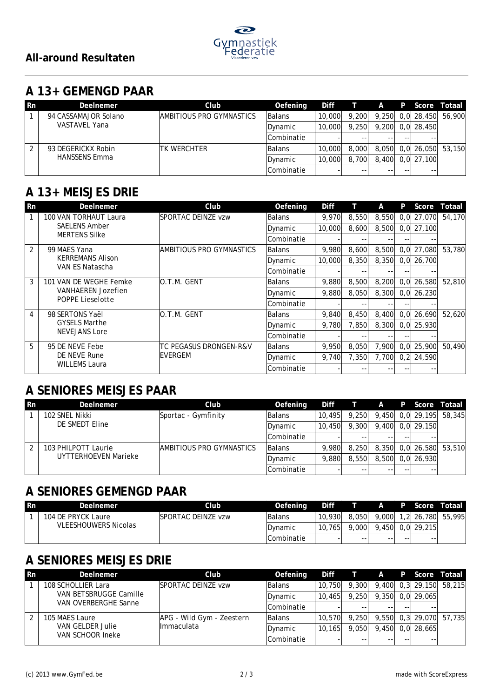

### **A 13+ GEMENGD PAAR**

| -Rn | <b>Deelnemer</b>     | Club                      | Oefening          | Diff   |       | A     |    |                  | P Score Totaal          |
|-----|----------------------|---------------------------|-------------------|--------|-------|-------|----|------------------|-------------------------|
|     | 94 CASSAMAJOR Solano | IAMBITIOUS PRO GYMNASTICS | <b>Balans</b>     | 10,000 | 9.200 |       |    |                  | 9,250 0,0 28,450 56,900 |
|     | VASTAVEL Yana        |                           | Dynamic           | 10,000 | 9.250 |       |    | 9.200 0.0 28.450 |                         |
|     |                      |                           | <b>Combinatie</b> |        |       | $- -$ | -- |                  |                         |
|     | 93 DEGERICKX Robin   | ITK WERCHTER              | Balans            | 10.000 | 8,000 |       |    |                  | 8,050 0,0 26,050 53,150 |
|     | <b>HANSSENS Emma</b> |                           | Dynamic           | 10,000 | 8.700 |       |    | 8.400 0.0 27.100 |                         |
|     |                      |                           | Combinatie        |        |       | $ -$  | -- | --               |                         |

### **A 13+ MEISJES DRIE**

| <b>Rn</b>      | Deelnemer                            | Club                                                                 | Oefening      | Diff    |       | A     | P     | Score        | Totaal       |  |
|----------------|--------------------------------------|----------------------------------------------------------------------|---------------|---------|-------|-------|-------|--------------|--------------|--|
|                | 100 VAN TORHAUT Laura                | SPORTAC DEINZE vzw                                                   | Balans        | 9,970   | 8,550 | 8,550 |       | 0.0 27.070   | 54,170       |  |
|                | <b>SAELENS Amber</b>                 |                                                                      | Dynamic       | 10,000  | 8,600 | 8,500 |       | $0,0$ 27,100 |              |  |
|                | <b>MERTENS Silke</b>                 |                                                                      | Combinatie    |         | - -   |       |       |              |              |  |
| $\overline{2}$ | 99 MAES Yana                         | AMBITIOUS PRO GYMNASTICS                                             | Balans        | 9,980   | 8,600 | 8,500 |       | $0,0$ 27,080 | 53,780       |  |
|                | <b>KERREMANS Alison</b>              |                                                                      | Dynamic       | 10,000  | 8.350 | 8.350 |       | $0,0$ 26,700 |              |  |
|                | VAN ES Natascha                      |                                                                      | Combinatie    |         | --    |       |       |              |              |  |
| 3              | 101 VAN DE WEGHE Femke               | IO.T.M. GENT<br><b>VANHAEREN Jozefien</b><br><b>POPPE Lieselotte</b> | <b>Balans</b> | 9,880   | 8,500 | 8,200 |       | 0.0126.580   | 52,810       |  |
|                |                                      |                                                                      | Dynamic       | 9,880   | 8.050 | 8.300 |       | $0,0$ 26,230 |              |  |
|                |                                      |                                                                      | lCombinatie   |         | --    |       |       |              |              |  |
| $\overline{4}$ | 98 SERTONS Yaël                      | IO.T.M. GENT                                                         | Balans        | 9,840   | 8,450 | 8,400 |       | 0.0126.690   | 52,620       |  |
|                | <b>GYSELS Marthe</b>                 |                                                                      | Dynamic       | 9,780   | 7.850 | 8.300 |       | 0.0 25.930   |              |  |
|                | <b>NEVEJANS Lore</b>                 |                                                                      | lCombinatie   |         | $- -$ |       |       |              |              |  |
| 5              | 95 DE NEVE Febe                      | TC PEGASUS DRONGEN-R&V                                               | Balans        | 9,950   | 8,050 | 7,900 |       | $0,0$ 25,900 | 50,490       |  |
|                | DE NEVE Rune<br><b>WILLEMS Laura</b> | <b>IEVERGEM</b>                                                      |               | Dynamic | 9,740 | 7,350 | 7,700 |              | $0,2$ 24,590 |  |
|                |                                      |                                                                      | lCombinatie   |         |       |       |       |              |              |  |

#### **A SENIORES MEISJES PAAR**

| Rn | <b>Deelnemer</b>     | Club.                     | Oefening    |        | Diff T A |    |       | P Score          | Totaal                    |
|----|----------------------|---------------------------|-------------|--------|----------|----|-------|------------------|---------------------------|
|    | 102 SNEL Nikki       | Sportac - Gymfinity       | Balans      | 10,495 | 9.250    |    |       |                  | $9,450$ 0,0 29,195 58,345 |
|    | DE SMEDT Eline       |                           | Dynamic     | 10,450 | 9.300    |    |       | 9,400 0,0 29,150 |                           |
|    |                      |                           | Combinatie  |        |          |    | --    | --               |                           |
|    | 103 PHILPOTT Laurie  | IAMBITIOUS PRO GYMNASTICS | Balans      | 9.980  | 8.250    |    |       |                  | 8,350 0,0 26,580 53,510   |
|    | UYTTERHOEVEN Marieke |                           | Dynamic     | 9.880  | 8.550    |    |       | 8,500 0,0 26,930 |                           |
|    |                      |                           | lCombinatie |        |          | -- | $- -$ | --               |                           |

### **A SENIORES GEMENGD PAAR**

| <b>Rn</b> | Deelnemer                   | Club.                      | Oefening    | Diff                    |       | $\mathsf{A}$ |       | P Score            | Totaal            |
|-----------|-----------------------------|----------------------------|-------------|-------------------------|-------|--------------|-------|--------------------|-------------------|
|           | 104 DE PRYCK Laure          | <b>ISPORTAC DEINZE vzw</b> | lBalans     | 10,930                  | 8,050 | 9,000        |       |                    | 1,2 26,780 55,995 |
|           | <b>VLEESHOUWERS Nicolas</b> |                            | IDvnamic    | 765 <sub>l</sub><br>10. | 9,000 |              |       | $9,450$ 0.0 29,215 |                   |
|           |                             |                            | lCombinatie |                         | $- -$ | $- -$        | $- -$ | --                 |                   |

## **A SENIORES MEISJES DRIE**

| <b>Rn</b> | Deelnemer                            | Club                      | Oefening          | Diff   | $\top$ A |       |              | P Score Totaal          |
|-----------|--------------------------------------|---------------------------|-------------------|--------|----------|-------|--------------|-------------------------|
|           | 108 SCHOLLIER Lara                   | ISPORTAC DEINZE vzw       | Balans            | 10,750 | 9,300    |       |              | 9,400 0,3 29,150 58,215 |
|           | VAN BETSBRUGGE Camille               |                           | Dynamic           | 10,465 | 9.250    | 9,350 | $0,0$ 29,065 |                         |
|           | VAN OVERBERGHE Sanne                 |                           | <b>Combinatie</b> |        | --       |       |              |                         |
| 2         | 105 MAES Laure                       | APG - Wild Gym - Zeestern | <b>Balans</b>     | 10.570 | 9.250    |       |              | 9,550 0,3 29,070 57,735 |
|           | VAN GELDER Julie<br>VAN SCHOOR Ineke | Ilmmaculata               | Dynamic           | 10.165 | 9.050    | 9,450 | $0,0$ 28,665 |                         |
|           |                                      |                           | <b>Combinatie</b> |        |          |       |              |                         |